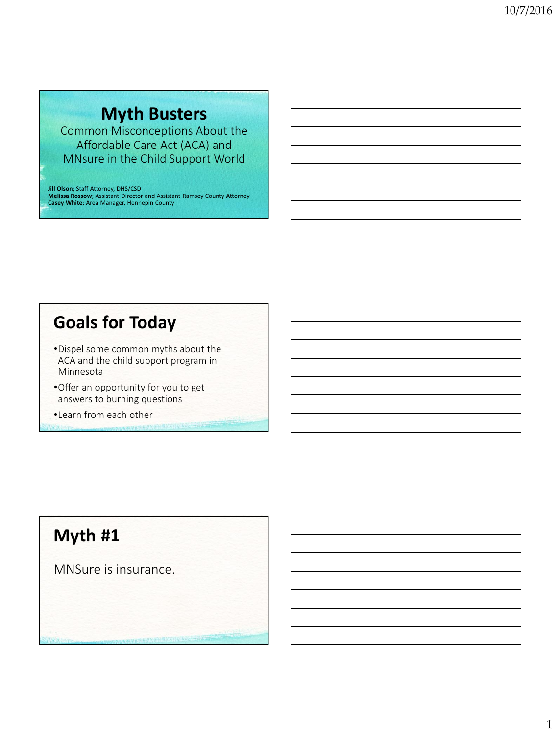# **Myth Busters**

Common Misconceptions About the Affordable Care Act (ACA) and MNsure in the Child Support World

**Jill Olson**; Staff Attorney, DHS/CSD **Melissa Rossow**; Assistant Director and Assistant Ramsey County Attorney **Casey White**; Area Manager, Hennepin County

# **Goals for Today**

- •Dispel some common myths about the ACA and the child support program in Minnesota
- •Offer an opportunity for you to get answers to burning questions
- •Learn from each other

# **Myth #1**

MNSure is insurance.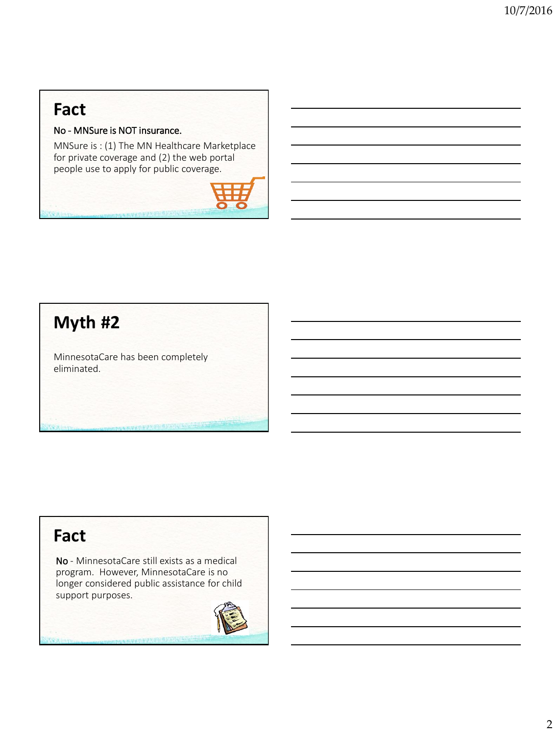No - MNSure is NOT insurance.

MNSure is : (1) The MN Healthcare Marketplace for private coverage and (2) the web portal people use to apply for public coverage.

# **Myth #2**

MinnesotaCare has been completely eliminated.

### **Fact**

No - MinnesotaCare still exists as a medical program. However, MinnesotaCare is no longer considered public assistance for child support purposes.

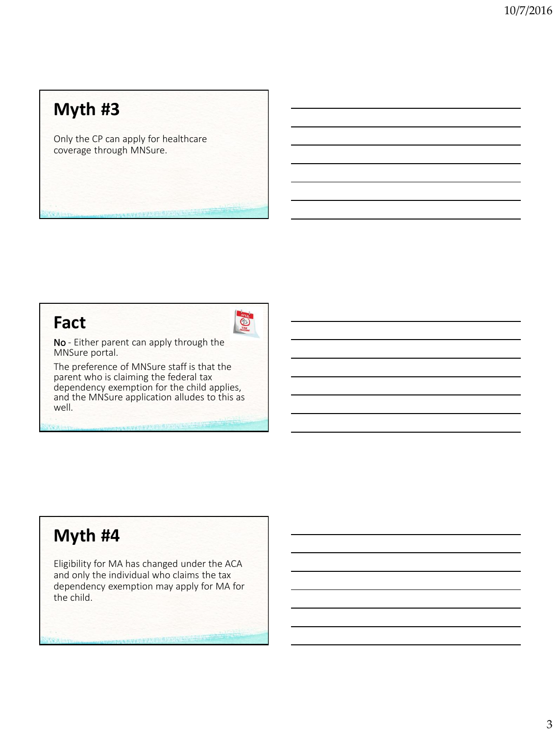Only the CP can apply for healthcare coverage through MNSure.

#### **Fact**



No - Either parent can apply through the MNSure portal.

The preference of MNSure staff is that the parent who is claiming the federal tax dependency exemption for the child applies, and the MNSure application alludes to this as well.

## **Myth #4**

Eligibility for MA has changed under the ACA and only the individual who claims the tax dependency exemption may apply for MA for the child.

1. 高型化学生产的研究研究所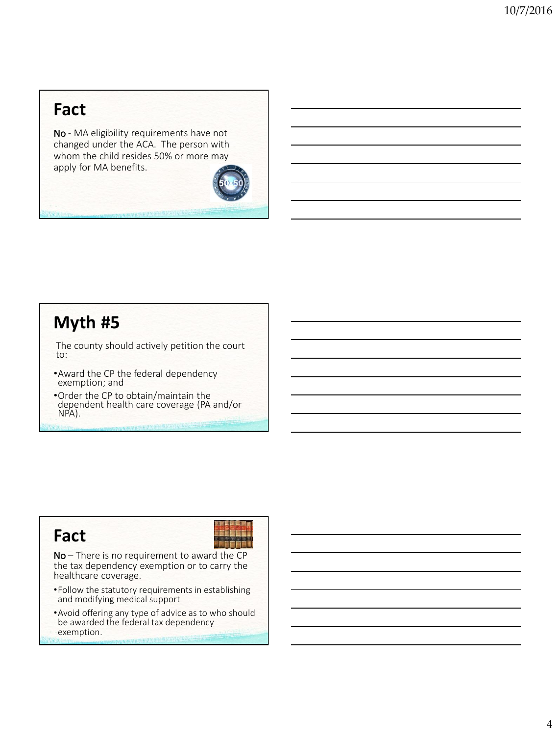No - MA eligibility requirements have not changed under the ACA. The person with whom the child resides 50% or more may apply for MA benefits.

#### **Myth #5**

The county should actively petition the court to:

- •Award the CP the federal dependency exemption; and
- •Order the CP to obtain/maintain the dependent health care coverage (PA and/or NPA).

### **Fact**



No – There is no requirement to award the CP the tax dependency exemption or to carry the healthcare coverage.

- •Follow the statutory requirements in establishing and modifying medical support
- •Avoid offering any type of advice as to who should be awarded the federal tax dependency exemption.www.watal.station.com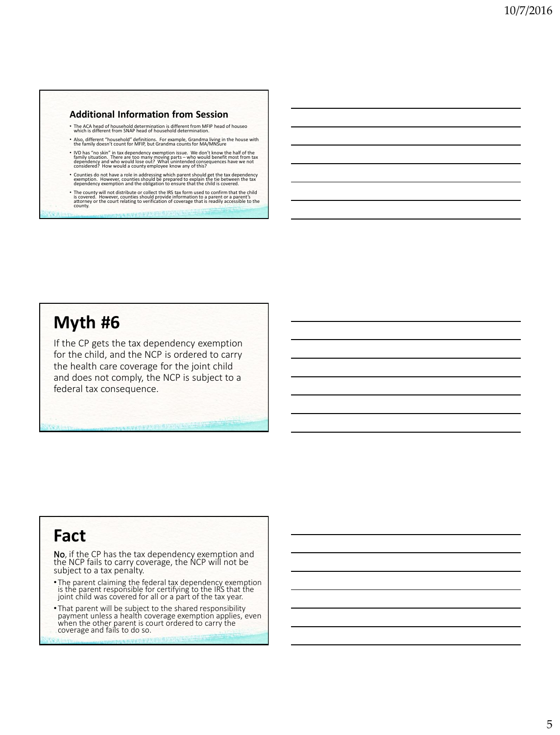- The ACA head of household determination is different from MFIP head of houseo which is different from SNAP head of household determination.
- Also, different "household" definitions. For example, Grandma living in the house with the family doesn't count for MFIP, but Grandma counts for MA/MNSure
- IVD has "no skin" in tax dependency exemption issue. We don't know the half of the<br>family situation. There are too many moving parts who would benefit most from tax<br>dependency and who would a county employee know any o
- Counties do not have a role in addressing which parent should get the tax dependency<br>exemption. However, counties should be prepared to explain the tie between the tax<br>dependency exemption and the obligation to ensure th
- The county will not distribute or collect the IRS tax form used to confirm that the child<br>is covered. However, counties should provide information to a parent or a parent's<br>attorney or the court relating to verification

#### **Myth #6**

If the CP gets the tax dependency exemption for the child, and the NCP is ordered to carry the health care coverage for the joint child and does not comply, the NCP is subject to a federal tax consequence.

#### **Fact**

No, if the CP has the tax dependency exemption and the NCP fails to carry coverage, the NCP will not be subject to a tax penalty.

- The parent claiming the federal tax dependency exemption is the parent responsible for certifying to the IRS that the joint child was covered for all or a part of the tax year.
- That parent will be subject to the shared responsibility payment unless a health coverage exemption applies, even when the other parent is court ordered to carry the coverage and fails to do so.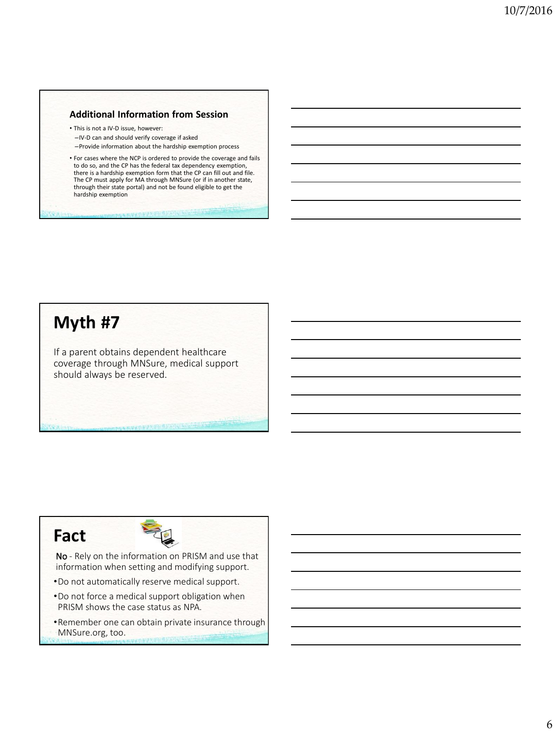• This is not a IV-D issue, however: –IV-D can and should verify coverage if asked –Provide information about the hardship exemption process

• For cases where the NCP is ordered to provide the coverage and fails to do so, and the CP has the federal tax dependency exemption, there is a hardship exemption form that the CP can fill out and file. The CP must apply for MA through MNSure (or if in another state, through their state portal) and not be found eligible to get the hardship exemption

## **Myth #7**

If a parent obtains dependent healthcare coverage through MNSure, medical support should always be reserved.

#### **Fact**



No - Rely on the information on PRISM and use that information when setting and modifying support.

- •Do not automatically reserve medical support.
- •Do not force a medical support obligation when PRISM shows the case status as NPA.
- •Remember one can obtain private insurance through MNSure.org, too.**CONTRACTOR AND ACTIVITY AND CONTRACTOR**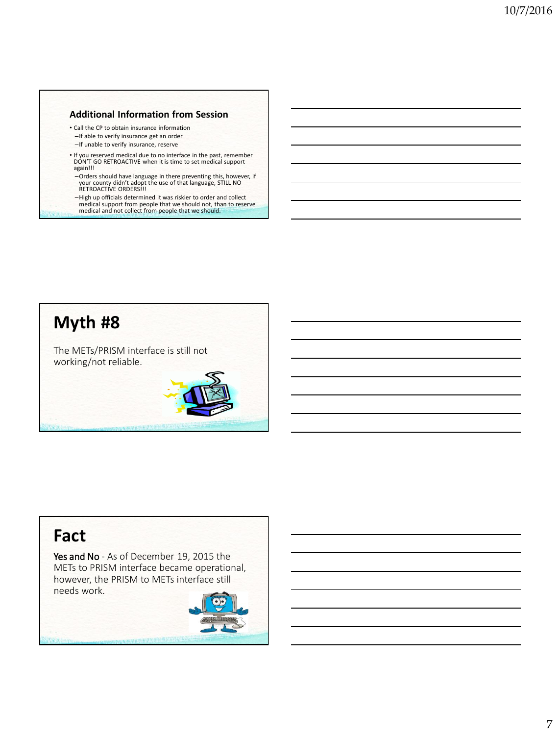- Call the CP to obtain insurance information
- –If able to verify insurance get an order
- –If unable to verify insurance, reserve
- If you reserved medical due to no interface in the past, remember DON'T GO RETROACTIVE when it is time to set medical support again!!!
- –Orders should have language in there preventing this, however, if your county didn't adopt the use of that language, STILL NO RETROACTIVE ORDERS!!!
- –High up officials determined it was riskier to order and collect medical support from people that we should not, than to reserve medical and not collect from people that we should.

# **Myth #8**

The METs/PRISM interface is still not working/not reliable.



#### **Fact**

Yes and No - As of December 19, 2015 the METs to PRISM interface became operational, however, the PRISM to METs interface still needs work.

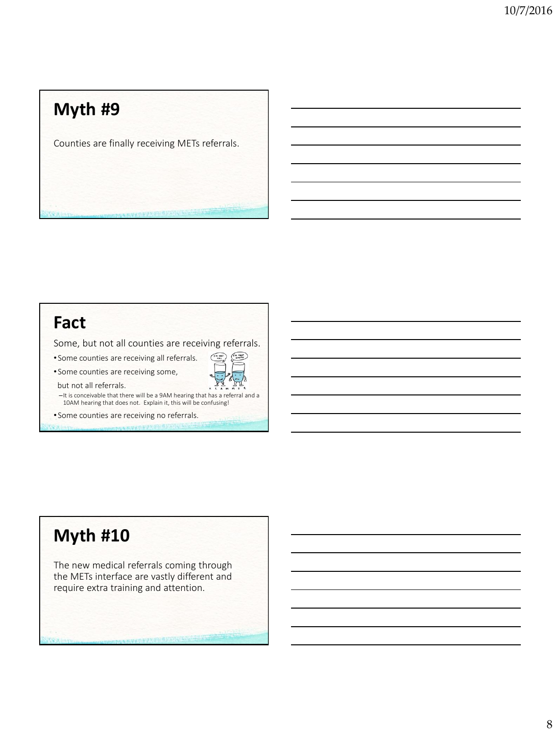Counties are finally receiving METs referrals.

### **Fact**

Some, but not all counties are receiving referrals.

 $\sqrt{\frac{r_{n \text{ max}}}{\text{energy}}}$ 

 $\binom{m \text{ NUC}}{r \text{ NUL}}$ 

• Some counties are receiving all referrals.

• Some counties are receiving some,

but not all referrals.

–It is conceivable that there will be a 9AM hearing that has a referral and a 10AM hearing that does not. Explain it, this will be confusing!

• Some counties are receiving no referrals.

## **Myth #10**

The new medical referrals coming through the METs interface are vastly different and require extra training and attention.

**一个的复数 的复数医生物 医神经性病**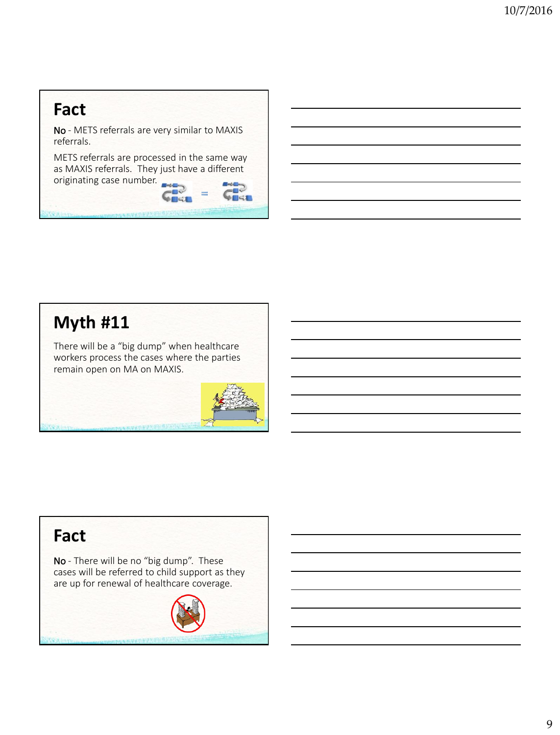No - METS referrals are very similar to MAXIS referrals.

METS referrals are processed in the same way originating case number. as MAXIS referrals. They just have a different **CHAR** 

 $\equiv$ 

# **Myth #11**

There will be a "big dump" when healthcare workers process the cases where the parties remain open on MA on MAXIS.



## **Fact**

No - There will be no "big dump". These cases will be referred to child support as they are up for renewal of healthcare coverage.

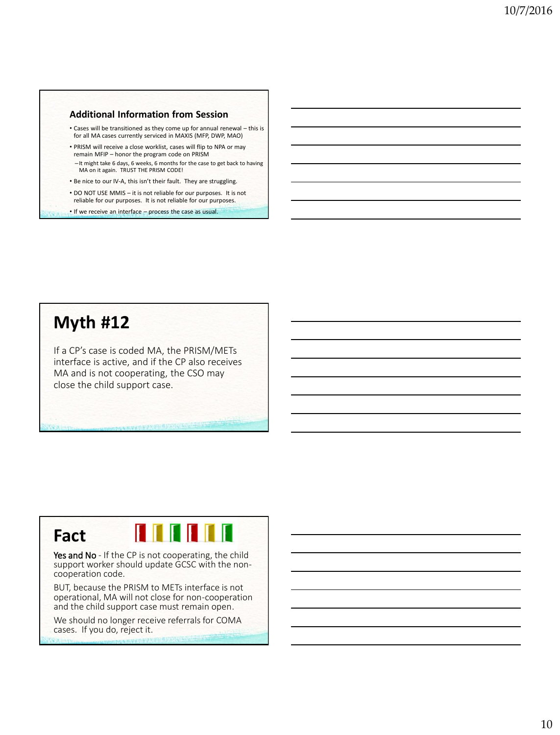- Cases will be transitioned as they come up for annual renewal this is for all MA cases currently serviced in MAXIS (MFP, DWP, MAO)
- PRISM will receive a close worklist, cases will flip to NPA or may remain MFIP – honor the program code on PRISM –It might take 6 days, 6 weeks, 6 months for the case to get back to having MA on it again. TRUST THE PRISM CODE!
- Be nice to our IV-A, this isn't their fault. They are struggling.
- DO NOT USE MMIS it is not reliable for our purposes. It is not reliable for our purposes. It is not reliable for our purposes.
- If we receive an interface process the case as usual.

#### **Myth #12**

If a CP's case is coded MA, the PRISM/METs interface is active, and if the CP also receives MA and is not cooperating, the CSO may close the child support case.

## **Fact**

**TTTTTT** 

Yes and No - If the CP is not cooperating, the child support worker should update GCSC with the noncooperation code.

BUT, because the PRISM to METs interface is not operational, MA will not close for non-cooperation and the child support case must remain open.

We should no longer receive referrals for COMA cases. If you do, reject it.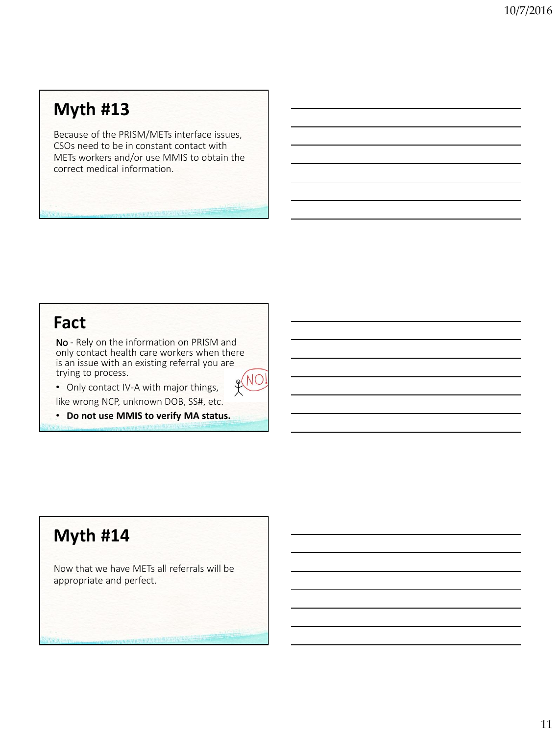Because of the PRISM/METs interface issues, CSOs need to be in constant contact with METs workers and/or use MMIS to obtain the correct medical information.

## **Fact**

No - Rely on the information on PRISM and only contact health care workers when there is an issue with an existing referral you are trying to process. NO



like wrong NCP, unknown DOB, SS#, etc.

• **Do not use MMIS to verify MA status.**

## **Myth #14**

Now that we have METs all referrals will be appropriate and perfect.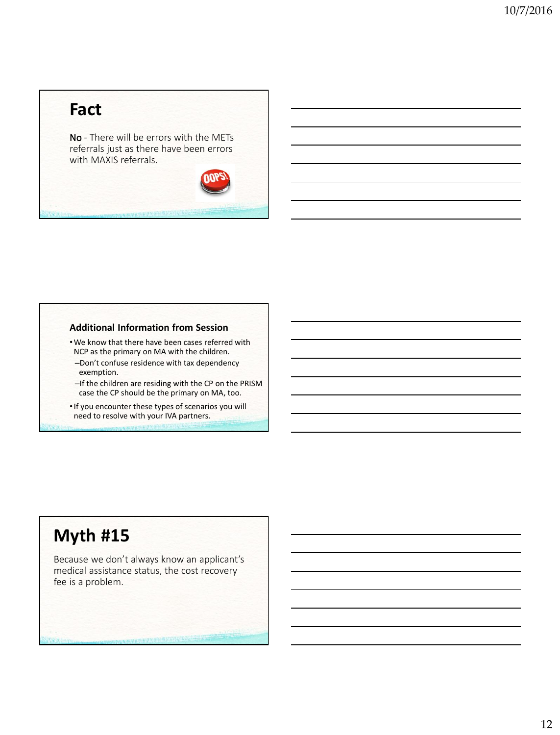No - There will be errors with the METs referrals just as there have been errors with MAXIS referrals.

#### **Additional Information from Session**

•We know that there have been cases referred with NCP as the primary on MA with the children.

- –Don't confuse residence with tax dependency exemption.
- –If the children are residing with the CP on the PRISM case the CP should be the primary on MA, too.

•If you encounter these types of scenarios you will need to resolve with your IVA partners.

### **Myth #15**

Because we don't always know an applicant's medical assistance status, the cost recovery fee is a problem.

**水杨型从水泥涂积层有500件() 500**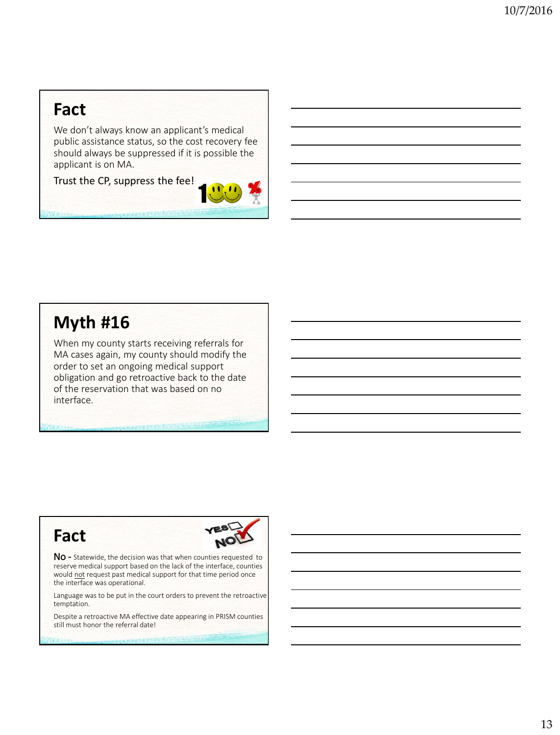We don't always know an applicant's medical public assistance status, so the cost recovery fee should always be suppressed if it is possible the applicant is on MA.

Trust the CP, suppress the fee!



## **Myth #16**

When my county starts receiving referrals for MA cases again, my county should modify the order to set an ongoing medical support obligation and go retroactive back to the date of the reservation that was based on no interface.

### **Fact**



No - Statewide, the decision was that when counties requested to reserve medical support based on the lack of the interface, counties would not request past medical support for that time period once the interface was operational.

Language was to be put in the court orders to prevent the retroactive temptation.

Despite a retroactive MA effective date appearing in PRISM counties still must honor the referral date!

**NEW YORK OF A STATE OF THE STATE**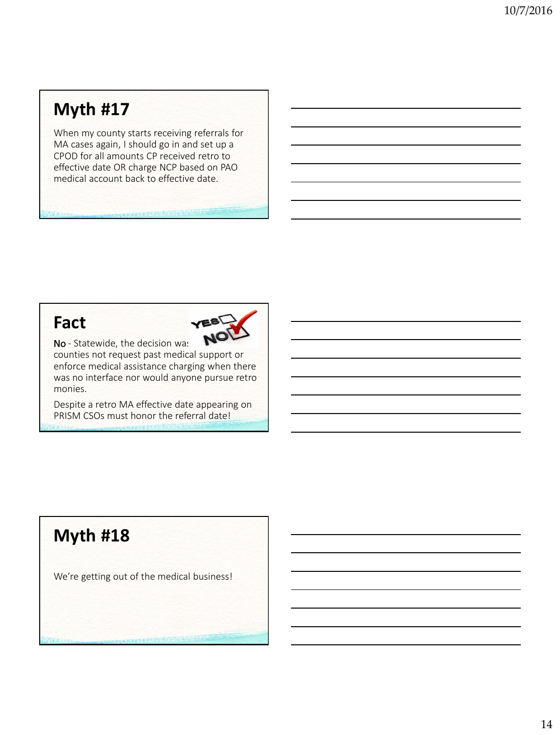When my county starts receiving referrals for MA cases again, I should go in and set up a CPOD for all amounts CP received retro to effective date OR charge NCP based on PAO medical account back to effective date.

#### **Fact**



No - Statewide, the decision was

counties not request past medical support or enforce medical assistance charging when there was no interface nor would anyone pursue retro monies.

Despite a retro MA effective date appearing on PRISM CSOs must honor the referral date!

# **Myth #18**

We're getting out of the medical business!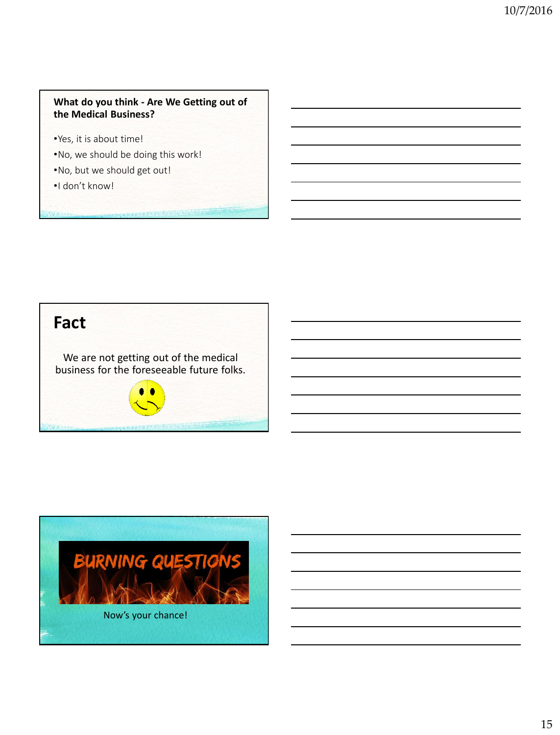#### **What do you think - Are We Getting out of the Medical Business?**

- •Yes, it is about time!
- •No, we should be doing this work!
- •No, but we should get out!
- •I don't know!